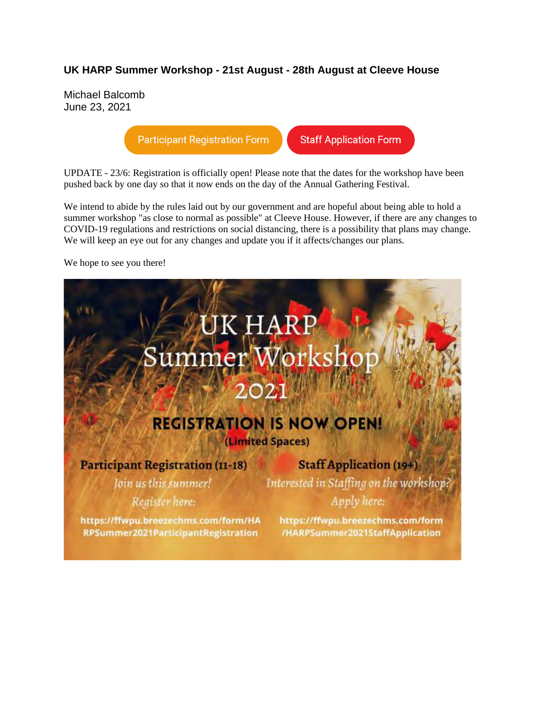### **UK HARP Summer Workshop - 21st August - 28th August at Cleeve House**

Michael Balcomb June 23, 2021

**Participant Registration Form** 

**Staff Application Form** 

UPDATE - 23/6: Registration is officially open! Please note that the dates for the workshop have been pushed back by one day so that it now ends on the day of the Annual Gathering Festival.

We intend to abide by the rules laid out by our government and are hopeful about being able to hold a summer workshop "as close to normal as possible" at Cleeve House. However, if there are any changes to COVID-19 regulations and restrictions on social distancing, there is a possibility that plans may change. We will keep an eye out for any changes and update you if it affects/changes our plans.

We hope to see you there!

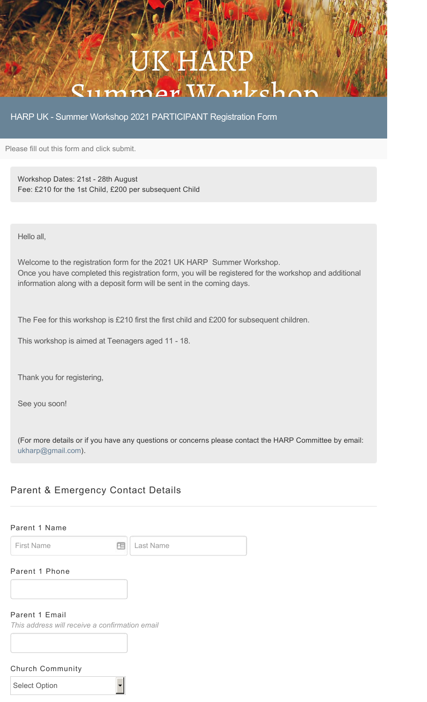## JK HA  $C_{11}$  $m$  $m$  $a$ r $N$  $n$  $r$  $c$

HARP UK - Summer Workshop 2021 PARTICIPANT Registration Form

Please fill out this form and click submit.

Workshop Dates: 21st - 28th August Fee: £210 for the 1st Child, £200 per subsequent Child

Hello all,

Welcome to the registration form for the 2021 UK HARP Summer Workshop. Once you have completed this registration form, you will be registered for the workshop and additional information along with a deposit form will be sent in the coming days.

The Fee for this workshop is £210 first the first child and £200 for subsequent children.

This workshop is aimed at Teenagers aged 11 - 18.

Thank you for registering,

See you soon!

(For more details or if you have any questions or concerns please contact the HARP Committee by email: ukharp@gmail.com).

## Parent & Emergency Contact Details

### Parent 1 Name

First Name **Last Name** 

### Parent 1 Phone

### Parent 1 Email

*This address will receive a confirmation email*

### Church Community

| <b>Select Option</b> |
|----------------------|
|----------------------|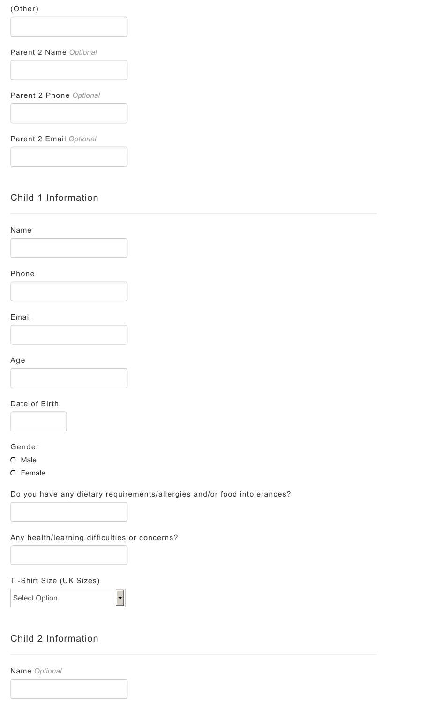(Other)

Parent 2 Name *Optional*

Parent 2 Phone *Optional*

Parent 2 Email *Optional*

## Child 1 Information

| Name                                          |                                                                          |
|-----------------------------------------------|--------------------------------------------------------------------------|
|                                               |                                                                          |
| Phone                                         |                                                                          |
|                                               |                                                                          |
| Email                                         |                                                                          |
|                                               |                                                                          |
|                                               |                                                                          |
| Age                                           |                                                                          |
|                                               |                                                                          |
| Date of Birth                                 |                                                                          |
|                                               |                                                                          |
| Gender                                        |                                                                          |
| C Male                                        |                                                                          |
| C Female                                      |                                                                          |
|                                               | Do you have any dietary requirements/allergies and/or food intolerances? |
|                                               |                                                                          |
| Any health/learning difficulties or concerns? |                                                                          |
|                                               |                                                                          |
|                                               |                                                                          |
| T-Shirt Size (UK Sizes)                       |                                                                          |
| Select Option                                 |                                                                          |
|                                               |                                                                          |

## Child 2 Information

Name *Optional*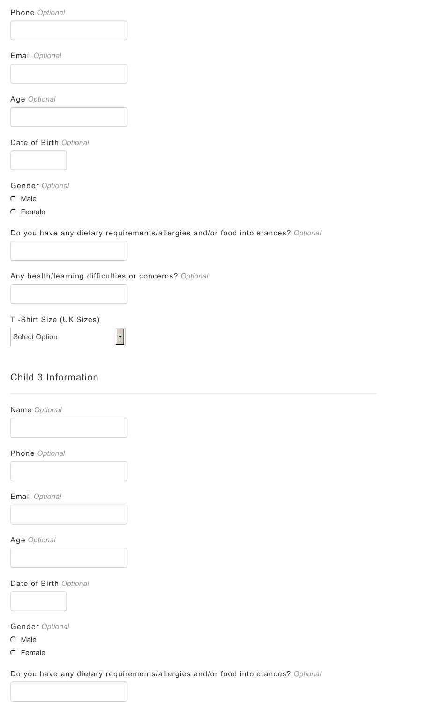Phone *Optional*

Email *Optional*

Age *Optional*

Date of Birth *Optional*

Gender *Optional*

 $C$  Male

**C** Female

Do you have any dietary requirements/allergies and/or food intolerances? *Optional*

Any health/learning difficulties or concerns? *Optional*

 $\overline{\phantom{0}}$ 

T -Shirt Size (UK Sizes)

Select Option

## Child 3 Information

| Phone Optional                                        |  |
|-------------------------------------------------------|--|
|                                                       |  |
|                                                       |  |
| Email Optional                                        |  |
|                                                       |  |
|                                                       |  |
| Age Optional                                          |  |
|                                                       |  |
|                                                       |  |
|                                                       |  |
|                                                       |  |
|                                                       |  |
|                                                       |  |
|                                                       |  |
| Date of Birth Optional<br>Gender Optional<br>$C$ Male |  |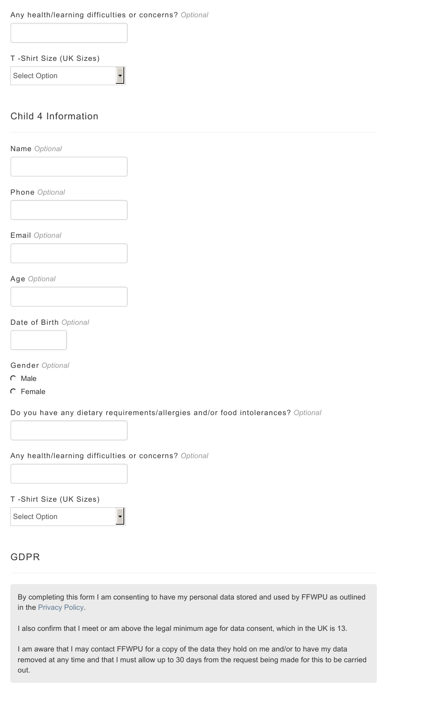### Any health/learning difficulties or concerns? *Optional*

| T-Shirt Size (UK Sizes) |
|-------------------------|
|-------------------------|

Select Option

## Child 4 Information

Name *Optional* Phone *Optional* Email *Optional* Age *Optional*

Date of Birth *Optional*

Gender *Optional*

 $O$  Male

 $C$  Female

Do you have any dietary requirements/allergies and/or food intolerances? *Optional*

## Any health/learning difficulties or concerns? *Optional*

T -Shirt Size (UK Sizes)

Select Option

## GDPR

By completing this form I am consenting to have my personal data stored and used by FFWPU as outlined in the Privacy Policy.

I also confirm that I meet or am above the legal minimum age for data consent, which in the UK is 13.

I am aware that I may contact FFWPU for a copy of the data they hold on me and/or to have my data removed at any time and that I must allow up to 30 days from the request being made for this to be carried out.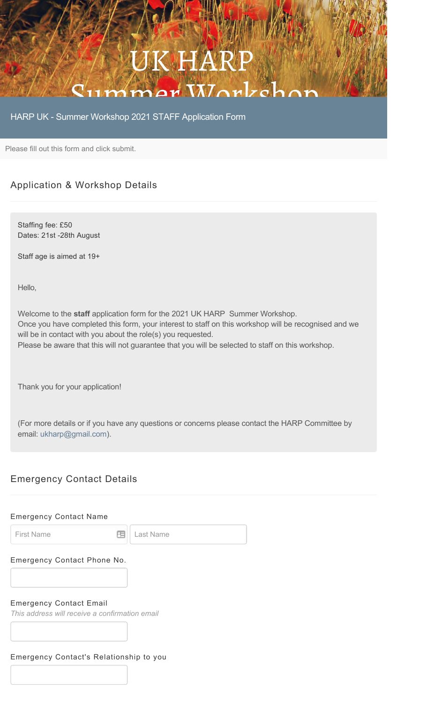# K HA  $C_{11}$ mmar Worke

HARP UK - Summer Workshop 2021 STAFF Application Form

Please fill out this form and click submit.

## Application & Workshop Details

Staffing fee: £50 Dates: 21st -28th August

Staff age is aimed at 19+

Hello,

Welcome to the **staff** application form for the 2021 UK HARP Summer Workshop. Once you have completed this form, your interest to staff on this workshop will be recognised and we will be in contact with you about the role(s) you requested. Please be aware that this will not guarantee that you will be selected to staff on this workshop.

Thank you for your application!

(For more details or if you have any questions or concerns please contact the HARP Committee by email: ukharp@gmail.com).

## Emergency Contact Details

## Emergency Contact Name First Name **Example 20** Last Name Emergency Contact Phone No. Emergency Contact Email *This address will receive a confirmation email* Emergency Contact's Relationship to you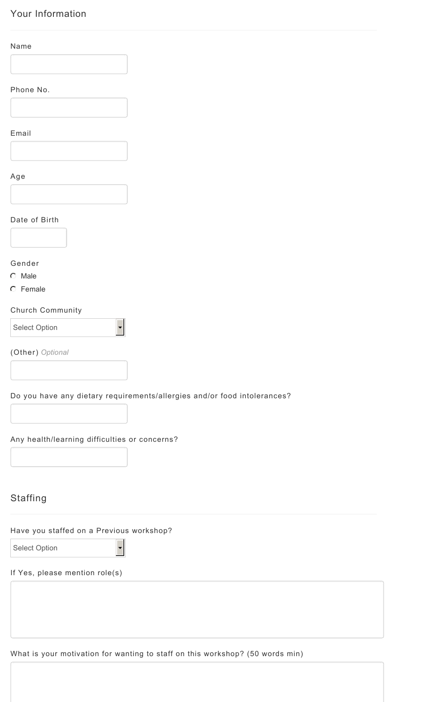## Your Information

| ÷. |  |
|----|--|
|----|--|

Phone No.

Email

Age



### Date of Birth

Gender

 $O$  Male

**C** Female

### Church Community

Select Option

(Other) *Optional*

Do you have any dietary requirements/allergies and/or food intolerances?

 $\blacktriangledown$ 

### Any health/learning difficulties or concerns?

## **Staffing**

### Have you staffed on a Previous workshop?

 $\overline{\phantom{a}}$ 

Select Option

### If Yes, please mention role(s)

What is your motivation for wanting to staff on this workshop? (50 words min)